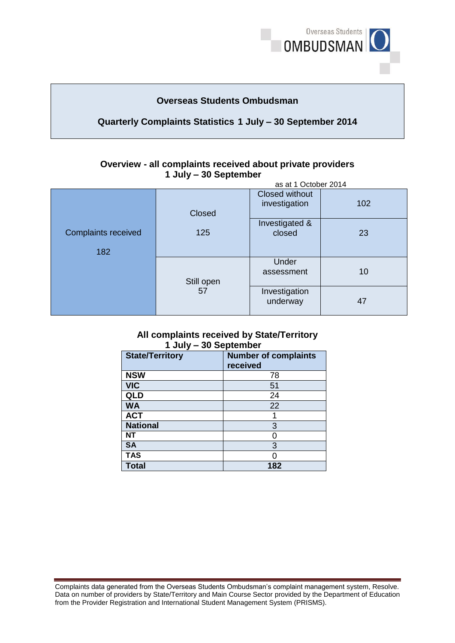

# **Overseas Students Ombudsman**

# **Quarterly Complaints Statistics 1 July – 30 September 2014**

#### **Overview - all complaints received about private providers 1 July – 30 September** as at 1 October 2014

|                                   | as at TOCtober 2014 |                                 |     |  |  |
|-----------------------------------|---------------------|---------------------------------|-----|--|--|
|                                   | Closed              | Closed without<br>investigation | 102 |  |  |
| <b>Complaints received</b><br>182 | 125                 | Investigated &<br>closed        | 23  |  |  |
|                                   | Still open<br>57    | Under<br>assessment             | 10  |  |  |
|                                   |                     | Investigation<br>underway       | 47  |  |  |

### **All complaints received by State/Territory 1 July – 30 September**

| <b>State/Territory</b> | <b>Number of complaints</b><br>received |
|------------------------|-----------------------------------------|
| <b>NSW</b>             | 78                                      |
| <b>VIC</b>             | 51                                      |
| QLD                    | 24                                      |
| <b>WA</b>              | 22                                      |
| <b>ACT</b>             |                                         |
| <b>National</b>        | 3                                       |
| <b>NT</b>              | O                                       |
| <b>SA</b>              | 3                                       |
| <b>TAS</b>             |                                         |
| <b>Total</b>           | 182                                     |

Complaints data generated from the Overseas Students Ombudsman's complaint management system, Resolve. Data on number of providers by State/Territory and Main Course Sector provided by the Department of Education from the Provider Registration and International Student Management System (PRISMS).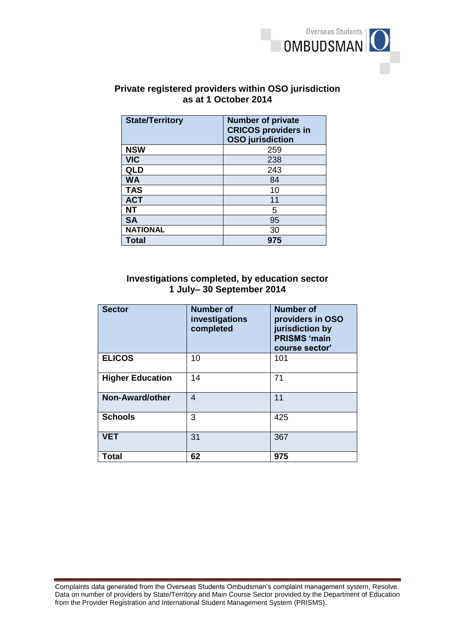

# **Private registered providers within OSO jurisdiction as at 1 October 2014**

| <b>State/Territory</b> | <b>Number of private</b><br><b>CRICOS providers in</b><br><b>OSO</b> jurisdiction |
|------------------------|-----------------------------------------------------------------------------------|
| <b>NSW</b>             | 259                                                                               |
| <b>VIC</b>             | 238                                                                               |
| QLD                    | 243                                                                               |
| <b>WA</b>              | 84                                                                                |
| <b>TAS</b>             | 10                                                                                |
| <b>ACT</b>             | 11                                                                                |
| <b>NT</b>              | 5                                                                                 |
| <b>SA</b>              | 95                                                                                |
| <b>NATIONAL</b>        | 30                                                                                |
| Total                  | 975                                                                               |

## **Investigations completed, by education sector 1 July– 30 September 2014**

| <b>Sector</b>           | <b>Number of</b><br>investigations<br>completed | <b>Number of</b><br>providers in OSO<br>jurisdiction by<br><b>PRISMS 'main</b><br>course sector' |
|-------------------------|-------------------------------------------------|--------------------------------------------------------------------------------------------------|
| <b>ELICOS</b>           | 10                                              | 101                                                                                              |
| <b>Higher Education</b> | 14                                              | 71                                                                                               |
| <b>Non-Award/other</b>  | 4                                               | 11                                                                                               |
| <b>Schools</b>          | 3                                               | 425                                                                                              |
| <b>VET</b>              | 31                                              | 367                                                                                              |
| <b>Total</b>            | 62                                              | 975                                                                                              |

Complaints data generated from the Overseas Students Ombudsman's complaint management system, Resolve. Data on number of providers by State/Territory and Main Course Sector provided by the Department of Education from the Provider Registration and International Student Management System (PRISMS).